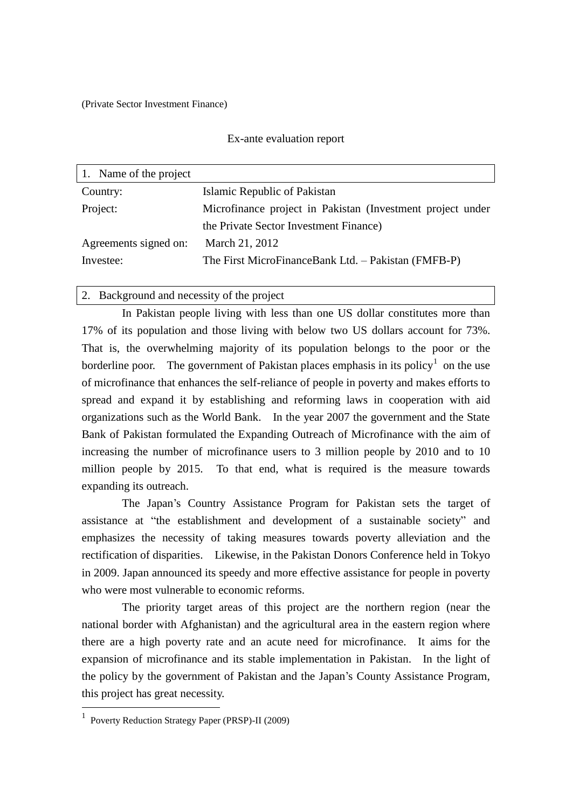(Private Sector Investment Finance)

#### Ex-ante evaluation report

| 1. Name of the project |                                                            |
|------------------------|------------------------------------------------------------|
| Country:               | Islamic Republic of Pakistan                               |
| Project:               | Microfinance project in Pakistan (Investment project under |
|                        | the Private Sector Investment Finance)                     |
| Agreements signed on:  | March 21, 2012                                             |
| Investee:              | The First MicroFinanceBank Ltd. - Pakistan (FMFB-P)        |
|                        |                                                            |

2. Background and necessity of the project

In Pakistan people living with less than one US dollar constitutes more than 17% of its population and those living with below two US dollars account for 73%. That is, the overwhelming majority of its population belongs to the poor or the borderline poor. The government of Pakistan places emphasis in its policy<sup>1</sup> on the use of microfinance that enhances the self-reliance of people in poverty and makes efforts to spread and expand it by establishing and reforming laws in cooperation with aid organizations such as the World Bank. In the year 2007 the government and the State Bank of Pakistan formulated the Expanding Outreach of Microfinance with the aim of increasing the number of microfinance users to 3 million people by 2010 and to 10 million people by 2015. To that end, what is required is the measure towards expanding its outreach.

The Japan's Country Assistance Program for Pakistan sets the target of assistance at "the establishment and development of a sustainable society" and emphasizes the necessity of taking measures towards poverty alleviation and the rectification of disparities. Likewise, in the Pakistan Donors Conference held in Tokyo in 2009. Japan announced its speedy and more effective assistance for people in poverty who were most vulnerable to economic reforms.

The priority target areas of this project are the northern region (near the national border with Afghanistan) and the agricultural area in the eastern region where there are a high poverty rate and an acute need for microfinance. It aims for the expansion of microfinance and its stable implementation in Pakistan. In the light of the policy by the government of Pakistan and the Japan's County Assistance Program, this project has great necessity.

 1 Poverty Reduction Strategy Paper (PRSP)-II (2009)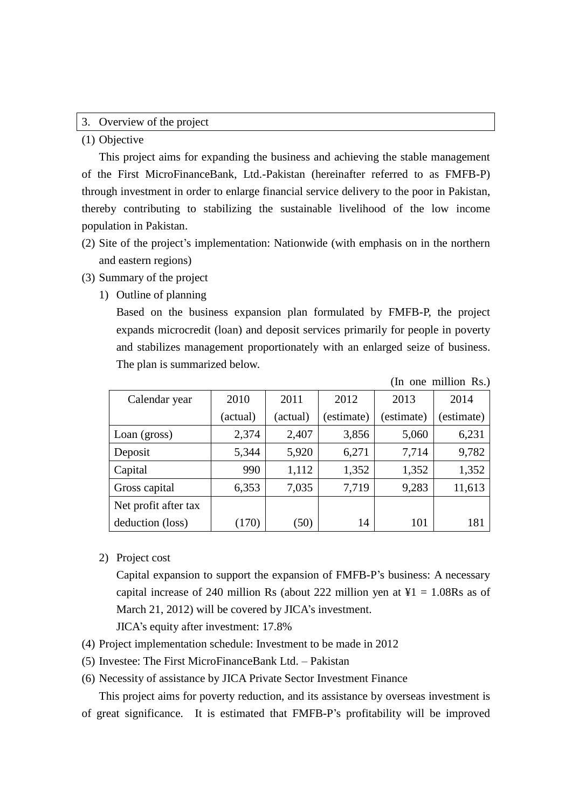### 3. Overview of the project

(1) Objective

This project aims for expanding the business and achieving the stable management of the First MicroFinanceBank, Ltd.-Pakistan (hereinafter referred to as FMFB-P) through investment in order to enlarge financial service delivery to the poor in Pakistan, thereby contributing to stabilizing the sustainable livelihood of the low income population in Pakistan.

- (2) Site of the project's implementation: Nationwide (with emphasis on in the northern and eastern regions)
- (3) Summary of the project
	- 1) Outline of planning

Based on the business expansion plan formulated by FMFB-P, the project expands microcredit (loan) and deposit services primarily for people in poverty and stabilizes management proportionately with an enlarged seize of business. The plan is summarized below.

|                      |            |          |            |            | (In one million Rs.) |
|----------------------|------------|----------|------------|------------|----------------------|
| Calendar year        | 2010       | 2011     | 2012       | 2013       | 2014                 |
|                      | (actual)   | (actual) | (estimate) | (estimate) | (estimate)           |
| Loan (gross)         | 2,374      | 2,407    | 3,856      | 5,060      | 6,231                |
| Deposit              | 5,344      | 5,920    | 6,271      | 7,714      | 9,782                |
| Capital              | 990        | 1,112    | 1,352      | 1,352      | 1,352                |
| Gross capital        | 6,353      | 7,035    | 7,719      | 9,283      | 11,613               |
| Net profit after tax |            |          |            |            |                      |
| deduction (loss)     | <b>170</b> | (50)     | 14         | 101        | 181                  |

2) Project cost

Capital expansion to support the expansion of FMFB-P's business: A necessary capital increase of 240 million Rs (about 222 million yen at  $\text{\textsterling}1 = 1.08 \text{Rs}$  as of March 21, 2012) will be covered by JICA's investment.

JICA's equity after investment: 17.8%

- (4) Project implementation schedule: Investment to be made in 2012
- (5) Investee: The First MicroFinanceBank Ltd. Pakistan
- (6) Necessity of assistance by JICA Private Sector Investment Finance

This project aims for poverty reduction, and its assistance by overseas investment is of great significance. It is estimated that FMFB-P's profitability will be improved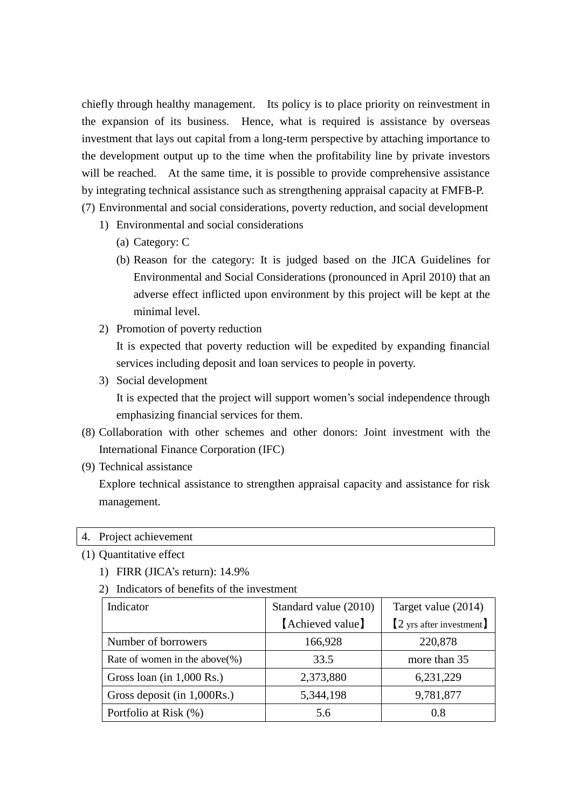chiefly through healthy management. Its policy is to place priority on reinvestment in the expansion of its business. Hence, what is required is assistance by overseas investment that lays out capital from a long-term perspective by attaching importance to the development output up to the time when the profitability line by private investors will be reached. At the same time, it is possible to provide comprehensive assistance by integrating technical assistance such as strengthening appraisal capacity at FMFB-P.

(7) Environmental and social considerations, poverty reduction, and social development

- 1) Environmental and social considerations
	- (a) Category: C
	- (b) Reason for the category: It is judged based on the JICA Guidelines for Environmental and Social Considerations (pronounced in April 2010) that an adverse effect inflicted upon environment by this project will be kept at the minimal level.
- 2) Promotion of poverty reduction

It is expected that poverty reduction will be expedited by expanding financial services including deposit and loan services to people in poverty.

3) Social development

It is expected that the project will support women's social independence through emphasizing financial services for them.

- (8) Collaboration with other schemes and other donors: Joint investment with the International Finance Corporation (IFC)
- (9) Technical assistance

Explore technical assistance to strengthen appraisal capacity and assistance for risk management.

#### 4. Project achievement

#### (1) Quantitative effect

1) FIRR (JICA's return): 14.9%

2) Indicators of benefits of the investment

| Indicator                     | Standard value (2010) | Target value (2014)      |
|-------------------------------|-----------------------|--------------------------|
|                               | [Achieved value]      | [2 yrs after investment] |
| Number of borrowers           | 166,928               | 220,878                  |
| Rate of women in the above(%) | 33.5                  | more than 35             |
| Gross loan (in $1,000$ Rs.)   | 2,373,880             | 6,231,229                |
| Gross deposit (in 1,000Rs.)   | 5,344,198             | 9,781,877                |
| Portfolio at Risk (%)         | 5.6                   | 0.8                      |